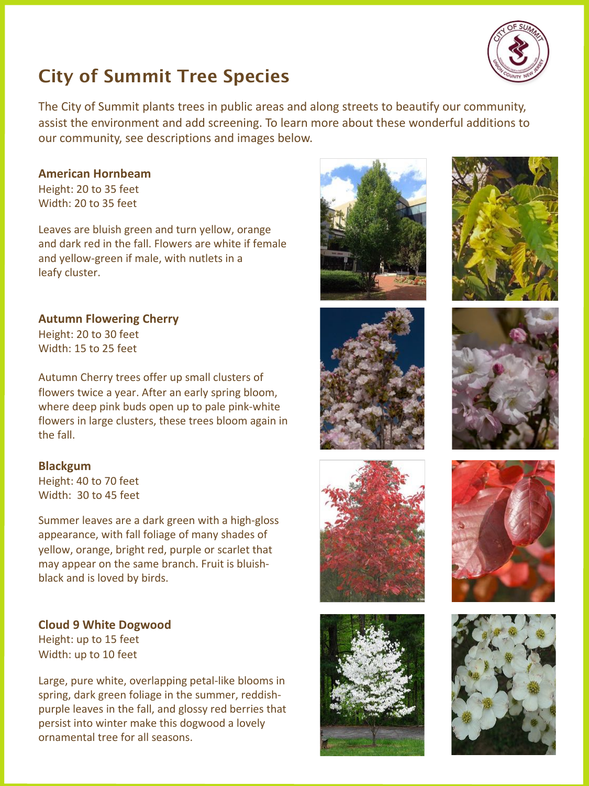

# **City of Summit Tree Species**

The City of Summit plants trees in public areas and along streets to beautify our community, assist the environment and add screening. To learn more about these wonderful additions to our community, see descriptions and images below.

# **American Hornbeam**

Height: 20 to 35 feet Width: 20 to 35 feet

Leaves are bluish green and turn yellow, orange and dark red in the fall. Flowers are white if female and yellow-green if male, with nutlets in a leafy cluster.

**Autumn Flowering Cherry** Height: 20 to 30 feet Width: 15 to 25 feet

Autumn Cherry trees offer up small clusters of flowers twice a year. After an early spring bloom, where deep pink buds open up to pale pink-white flowers in large clusters, these trees bloom again in the fall.

# **Blackgum**

Height: 40 to 70 feet Width: 30 to 45 feet

Summer leaves are a dark green with a high-gloss appearance, with fall foliage of many shades of yellow, orange, bright red, purple or scarlet that may appear on the same branch. Fruit is bluishblack and is loved by birds.

**Cloud 9 White Dogwood** Height: up to 15 feet Width: up to 10 feet

Large, pure white, overlapping petal-like blooms in spring, dark green foliage in the summer, reddishpurple leaves in the fall, and glossy red berries that persist into winter make this dogwood a lovely ornamental tree for all seasons.















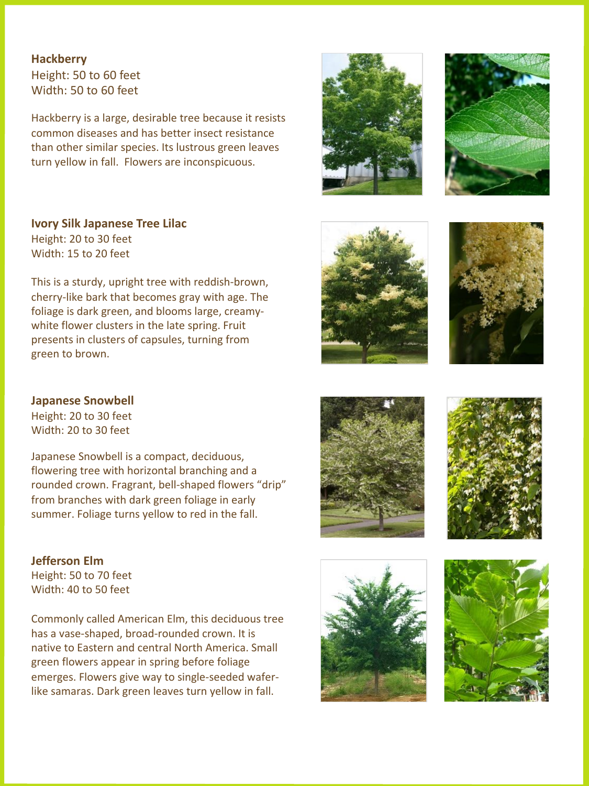**Hackberry** Height: 50 to 60 feet Width: 50 to 60 feet

Hackberry is a large, desirable tree because it resists common diseases and has better insect resistance than other similar species. Its lustrous green leaves turn yellow in fall. Flowers are inconspicuous.

**Ivory Silk Japanese Tree Lilac** Height: 20 to 30 feet Width: 15 to 20 feet

This is a sturdy, upright tree with reddish-brown, cherry-like bark that becomes gray with age. The foliage is dark green, and blooms large, creamywhite flower clusters in the late spring. Fruit presents in clusters of capsules, turning from green to brown.

# **Japanese Snowbell**

Height: 20 to 30 feet Width: 20 to 30 feet

Japanese Snowbell is a compact, deciduous, flowering tree with horizontal branching and a rounded crown. Fragrant, bell-shaped flowers "drip" from branches with dark green foliage in early summer. Foliage turns yellow to red in the fall.

**Jefferson Elm** Height: 50 to 70 feet Width: 40 to 50 feet

Commonly called American Elm, this deciduous tree has a vase-shaped, broad-rounded crown. It is native to Eastern and central North America. Small green flowers appear in spring before foliage emerges. Flowers give way to single-seeded waferlike samaras. Dark green leaves turn yellow in fall.















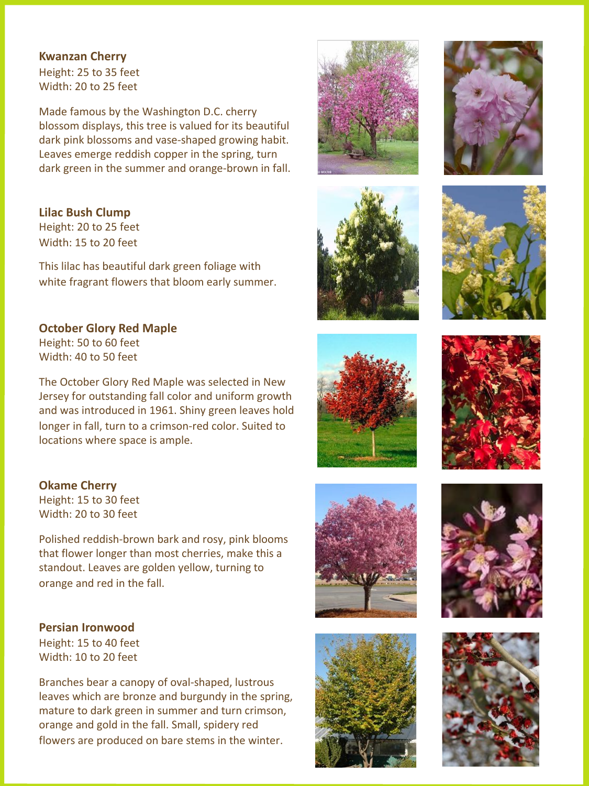#### **Kwanzan Cherry**

Height: 25 to 35 feet Width: 20 to 25 feet

Made famous by the Washington D.C. cherry blossom displays, this tree is valued for its beautiful dark pink blossoms and vase-shaped growing habit. Leaves emerge reddish copper in the spring, turn dark green in the summer and orange-brown in fall.

**Lilac Bush Clump** Height: 20 to 25 feet

Width: 15 to 20 feet

This lilac has beautiful dark green foliage with white fragrant flowers that bloom early summer.

# **October Glory Red Maple**

Height: 50 to 60 feet Width: 40 to 50 feet

The October Glory Red Maple was selected in New Jersey for outstanding fall color and uniform growth and was introduced in 1961. Shiny green leaves hold longer in fall, turn to a crimson-red color. Suited to locations where space is ample.



Height: 15 to 30 feet Width: 20 to 30 feet

Polished reddish-brown bark and rosy, pink blooms that flower longer than most cherries, make this a standout. Leaves are golden yellow, turning to orange and red in the fall.

**Persian Ironwood**

Height: 15 to 40 feet Width: 10 to 20 feet

Branches bear a canopy of oval-shaped, lustrous leaves which are bronze and burgundy in the spring, mature to dark green in summer and turn crimson, orange and gold in the fall. Small, spidery red flowers are produced on bare stems in the winter.



















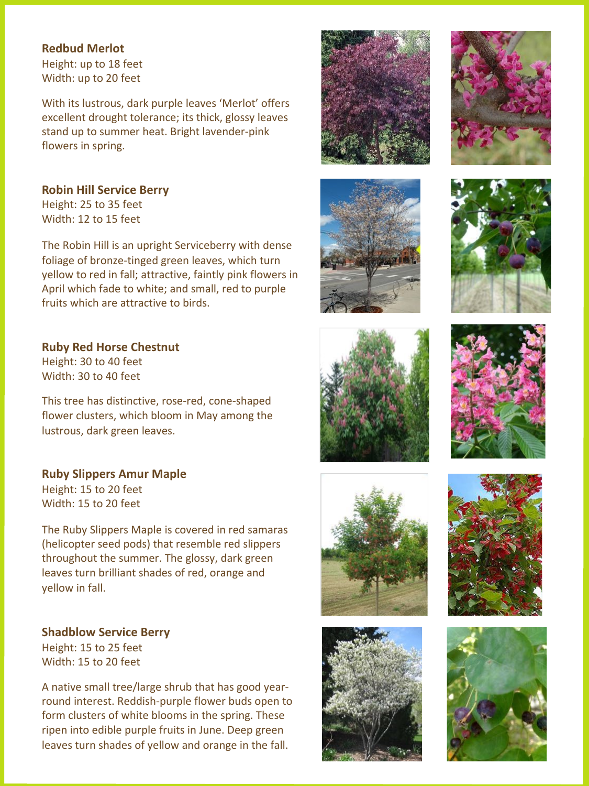### **Redbud Merlot**

Height: up to 18 feet Width: up to 20 feet

With its lustrous, dark purple leaves 'Merlot' offers excellent drought tolerance; its thick, glossy leaves stand up to summer heat. Bright lavender-pink flowers in spring.

# **Robin Hill Service Berry**

Height: 25 to 35 feet Width: 12 to 15 feet

The Robin Hill is an upright Serviceberry with dense foliage of bronze-tinged green leaves, which turn yellow to red in fall; attractive, faintly pink flowers in April which fade to white; and small, red to purple fruits which are attractive to birds.

**Ruby Red Horse Chestnut** Height: 30 to 40 feet Width: 30 to 40 feet

This tree has distinctive, rose-red, cone-shaped flower clusters, which bloom in May among the lustrous, dark green leaves.

#### **Ruby Slippers Amur Maple** Height: 15 to 20 feet

Width: 15 to 20 feet

The Ruby Slippers Maple is covered in red samaras (helicopter seed pods) that resemble red slippers throughout the summer. The glossy, dark green leaves turn brilliant shades of red, orange and yellow in fall.

**Shadblow Service Berry** Height: 15 to 25 feet Width: 15 to 20 feet

A native small tree/large shrub that has good yearround interest. Reddish-purple flower buds open to form clusters of white blooms in the spring. These ripen into edible purple fruits in June. Deep green leaves turn shades of yellow and orange in the fall.